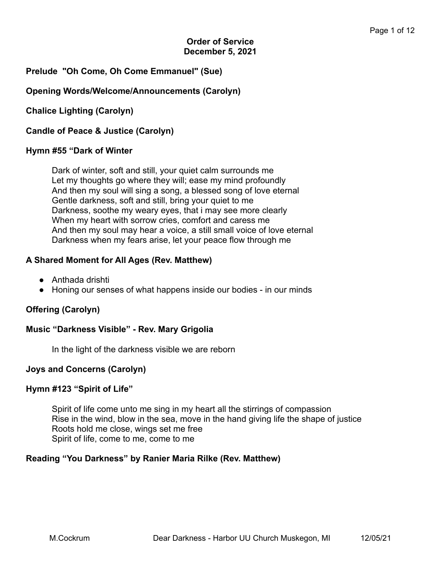# **Order of Service December 5, 2021**

## **Prelude "Oh Come, Oh Come Emmanuel" (Sue)**

## **Opening Words/Welcome/Announcements (Carolyn)**

**Chalice Lighting (Carolyn)**

**Candle of Peace & Justice (Carolyn)**

#### **Hymn #55 "Dark of Winter**

Dark of winter, soft and still, your quiet calm surrounds me Let my thoughts go where they will; ease my mind profoundly And then my soul will sing a song, a blessed song of love eternal Gentle darkness, soft and still, bring your quiet to me Darkness, soothe my weary eyes, that i may see more clearly When my heart with sorrow cries, comfort and caress me And then my soul may hear a voice, a still small voice of love eternal Darkness when my fears arise, let your peace flow through me

#### **A Shared Moment for All Ages (Rev. Matthew)**

- Anthada drishti
- Honing our senses of what happens inside our bodies in our minds

#### **Offering (Carolyn)**

#### **Music "Darkness Visible" - Rev. Mary Grigolia**

In the light of the darkness visible we are reborn

#### **Joys and Concerns (Carolyn)**

#### **Hymn #123 "Spirit of Life"**

Spirit of life come unto me sing in my heart all the stirrings of compassion Rise in the wind, blow in the sea, move in the hand giving life the shape of justice Roots hold me close, wings set me free Spirit of life, come to me, come to me

#### **Reading "You Darkness" by Ranier Maria Rilke (Rev. Matthew)**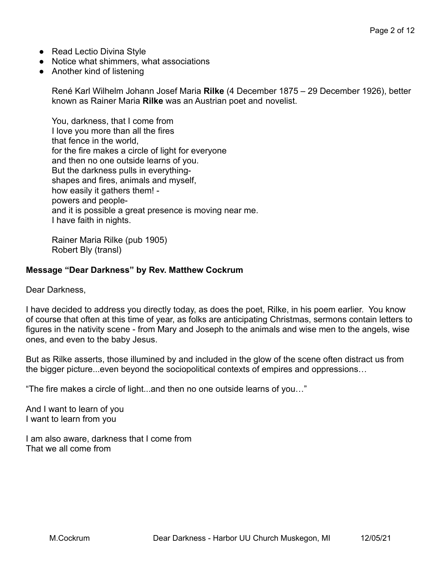- Read Lectio Divina Style
- Notice what shimmers, what associations
- Another kind of listening

René Karl Wilhelm Johann Josef Maria **Rilke** (4 December 1875 – 29 December 1926), better known as Rainer Maria **Rilke** was an Austrian poet and novelist.

You, darkness, that I come from I love you more than all the fires that fence in the world, for the fire makes a circle of light for everyone and then no one outside learns of you. But the darkness pulls in everythingshapes and fires, animals and myself, how easily it gathers them! powers and peopleand it is possible a great presence is moving near me. I have faith in nights.

Rainer Maria Rilke (pub 1905) Robert Bly (transl)

#### **Message "Dear Darkness" by Rev. Matthew Cockrum**

Dear Darkness,

I have decided to address you directly today, as does the poet, Rilke, in his poem earlier. You know of course that often at this time of year, as folks are anticipating Christmas, sermons contain letters to figures in the nativity scene - from Mary and Joseph to the animals and wise men to the angels, wise ones, and even to the baby Jesus.

But as Rilke asserts, those illumined by and included in the glow of the scene often distract us from the bigger picture...even beyond the sociopolitical contexts of empires and oppressions…

"The fire makes a circle of light...and then no one outside learns of you…"

And I want to learn of you I want to learn from you

I am also aware, darkness that I come from That we all come from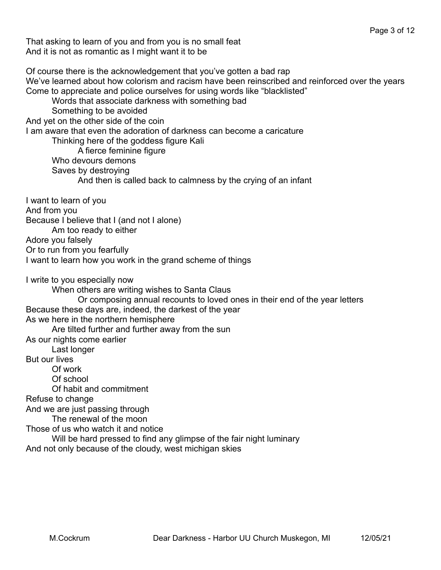That asking to learn of you and from you is no small feat And it is not as romantic as I might want it to be

Of course there is the acknowledgement that you've gotten a bad rap We've learned about how colorism and racism have been reinscribed and reinforced over the years Come to appreciate and police ourselves for using words like "blacklisted"

Words that associate darkness with something bad

Something to be avoided

And yet on the other side of the coin

I am aware that even the adoration of darkness can become a caricature

Thinking here of the goddess figure Kali

A fierce feminine figure Who devours demons Saves by destroying

And then is called back to calmness by the crying of an infant

I want to learn of you And from you Because I believe that I (and not I alone) Am too ready to either Adore you falsely Or to run from you fearfully I want to learn how you work in the grand scheme of things

I write to you especially now

When others are writing wishes to Santa Claus

Or composing annual recounts to loved ones in their end of the year letters Because these days are, indeed, the darkest of the year As we here in the northern hemisphere

Are tilted further and further away from the sun

As our nights come earlier

Last longer

But our lives

Of work

Of school

Of habit and commitment

Refuse to change

And we are just passing through

The renewal of the moon

Those of us who watch it and notice

Will be hard pressed to find any glimpse of the fair night luminary

And not only because of the cloudy, west michigan skies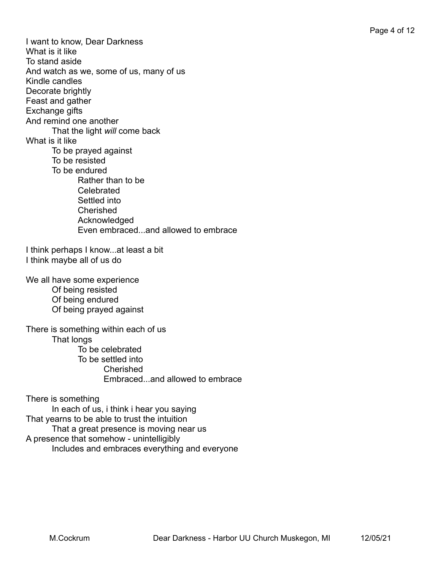I want to know, Dear Darkness What is it like To stand aside And watch as we, some of us, many of us Kindle candles Decorate brightly Feast and gather Exchange gifts And remind one another That the light *will* come back What is it like To be prayed against To be resisted To be endured Rather than to be Celebrated Settled into Cherished Acknowledged Even embraced...and allowed to embrace I think perhaps I know...at least a bit I think maybe all of us do We all have some experience Of being resisted Of being endured Of being prayed against There is something within each of us That longs To be celebrated To be settled into Cherished Embraced...and allowed to embrace

There is something In each of us, i think i hear you saying That yearns to be able to trust the intuition That a great presence is moving near us A presence that somehow - unintelligibly Includes and embraces everything and everyone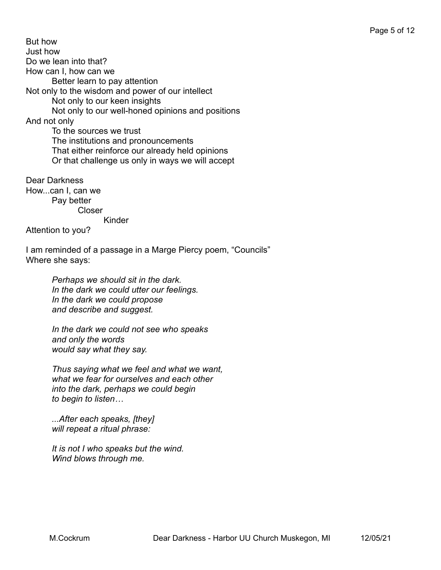But how Just how Do we lean into that? How can I, how can we Better learn to pay attention Not only to the wisdom and power of our intellect Not only to our keen insights Not only to our well-honed opinions and positions And not only To the sources we trust The institutions and pronouncements That either reinforce our already held opinions Or that challenge us only in ways we will accept Dear Darkness How...can I, can we Pay better

**Closer** 

Attention to you?

I am reminded of a passage in a Marge Piercy poem, "Councils" Where she says:

> *Perhaps we should sit in the dark. In the dark we could utter our feelings. In the dark we could propose and describe and suggest.*

Kinder

*In the dark we could not see who speaks and only the words would say what they say.*

*Thus saying what we feel and what we want, what we fear for ourselves and each other into the dark, perhaps we could begin to begin to listen…*

*...After each speaks, [they] will repeat a ritual phrase:*

*It is not I who speaks but the wind. Wind blows through me.*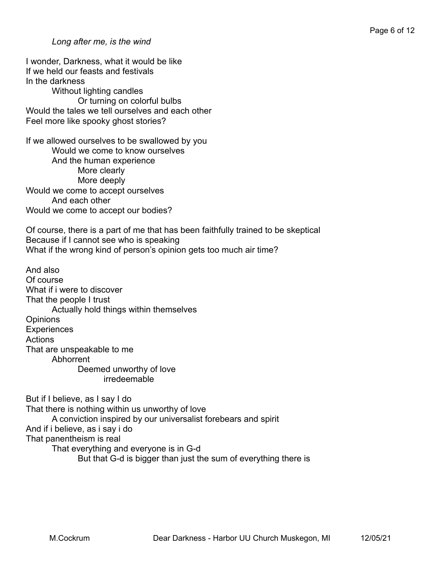*Long after me, is the wind*

I wonder, Darkness, what it would be like If we held our feasts and festivals In the darkness Without lighting candles Or turning on colorful bulbs Would the tales we tell ourselves and each other Feel more like spooky ghost stories? If we allowed ourselves to be swallowed by you

Would we come to know ourselves And the human experience More clearly More deeply Would we come to accept ourselves And each other Would we come to accept our bodies?

Of course, there is a part of me that has been faithfully trained to be skeptical Because if I cannot see who is speaking What if the wrong kind of person's opinion gets too much air time?

And also Of course What if i were to discover That the people I trust Actually hold things within themselves **Opinions Experiences Actions** That are unspeakable to me Abhorrent Deemed unworthy of love irredeemable

But if I believe, as I say I do That there is nothing within us unworthy of love A conviction inspired by our universalist forebears and spirit And if i believe, as i say i do That panentheism is real That everything and everyone is in G-d But that G-d is bigger than just the sum of everything there is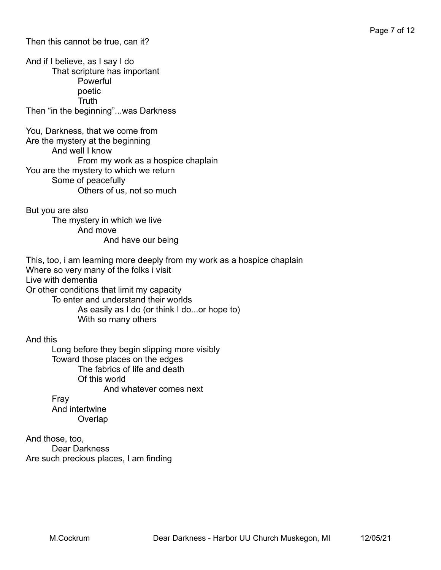Then this cannot be true, can it?

And if I believe, as I say I do That scripture has important **Powerful** poetic **Truth** Then "in the beginning"...was Darkness

You, Darkness, that we come from Are the mystery at the beginning And well I know From my work as a hospice chaplain You are the mystery to which we return Some of peacefully Others of us, not so much

But you are also The mystery in which we live And move And have our being

This, too, i am learning more deeply from my work as a hospice chaplain Where so very many of the folks i visit Live with dementia Or other conditions that limit my capacity To enter and understand their worlds As easily as I do (or think I do...or hope to) With so many others

And this

Long before they begin slipping more visibly Toward those places on the edges The fabrics of life and death Of this world And whatever comes next

Fray And intertwine

**Overlap** 

And those, too, Dear Darkness Are such precious places, I am finding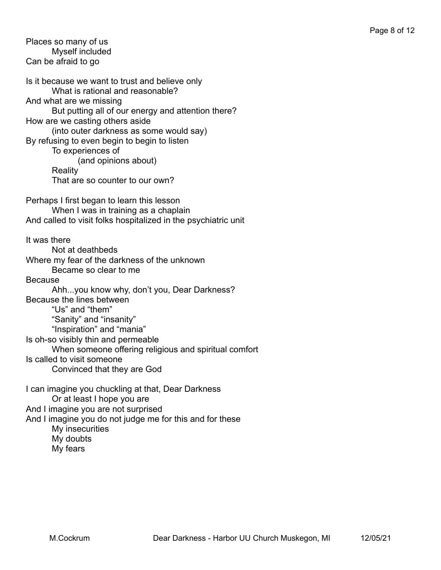Places so many of us Myself included Can be afraid to go

Is it because we want to trust and believe only What is rational and reasonable? And what are we missing But putting all of our energy and attention there? How are we casting others aside (into outer darkness as some would say) By refusing to even begin to begin to listen To experiences of (and opinions about) **Reality** That are so counter to our own? Perhaps I first began to learn this lesson When I was in training as a chaplain And called to visit folks hospitalized in the psychiatric unit It was there Not at deathbeds Where my fear of the darkness of the unknown Became so clear to me Because Ahh...you know why, don't you, Dear Darkness? Because the lines between "Us" and "them" "Sanity" and "insanity" "Inspiration" and "mania" Is oh-so visibly thin and permeable When someone offering religious and spiritual comfort Is called to visit someone Convinced that they are God I can imagine you chuckling at that, Dear Darkness Or at least I hope you are And I imagine you are not surprised And I imagine you do not judge me for this and for these My insecurities My doubts

My fears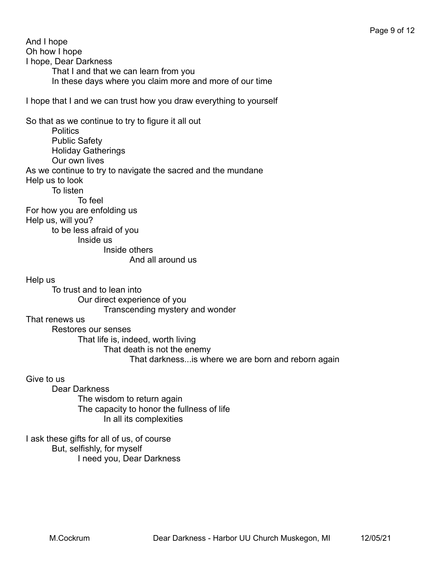And I hope Oh how I hope I hope, Dear Darkness That I and that we can learn from you In these days where you claim more and more of our time I hope that I and we can trust how you draw everything to yourself So that as we continue to try to figure it all out **Politics** Public Safety Holiday Gatherings Our own lives As we continue to try to navigate the sacred and the mundane Help us to look To listen To feel For how you are enfolding us Help us, will you? to be less afraid of you Inside us Inside others And all around us Help us To trust and to lean into Our direct experience of you Transcending mystery and wonder That renews us Restores our senses That life is, indeed, worth living That death is not the enemy That darkness...is where we are born and reborn again Give to us Dear Darkness The wisdom to return again The capacity to honor the fullness of life In all its complexities I ask these gifts for all of us, of course But, selfishly, for myself

I need you, Dear Darkness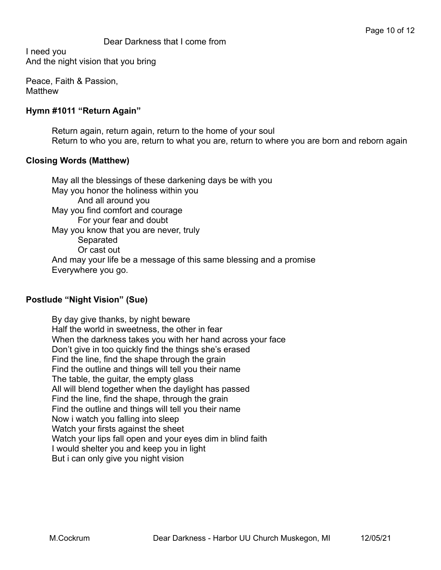#### Dear Darkness that I come from

I need you And the night vision that you bring

Peace, Faith & Passion, Matthew

### **Hymn #1011 "Return Again"**

Return again, return again, return to the home of your soul Return to who you are, return to what you are, return to where you are born and reborn again

#### **Closing Words (Matthew)**

May all the blessings of these darkening days be with you May you honor the holiness within you And all around you May you find comfort and courage For your fear and doubt May you know that you are never, truly **Separated** Or cast out And may your life be a message of this same blessing and a promise Everywhere you go.

## **Postlude "Night Vision" (Sue)**

By day give thanks, by night beware Half the world in sweetness, the other in fear When the darkness takes you with her hand across your face Don't give in too quickly find the things she's erased Find the line, find the shape through the grain Find the outline and things will tell you their name The table, the guitar, the empty glass All will blend together when the daylight has passed Find the line, find the shape, through the grain Find the outline and things will tell you their name Now i watch you falling into sleep Watch your firsts against the sheet Watch your lips fall open and your eyes dim in blind faith I would shelter you and keep you in light But i can only give you night vision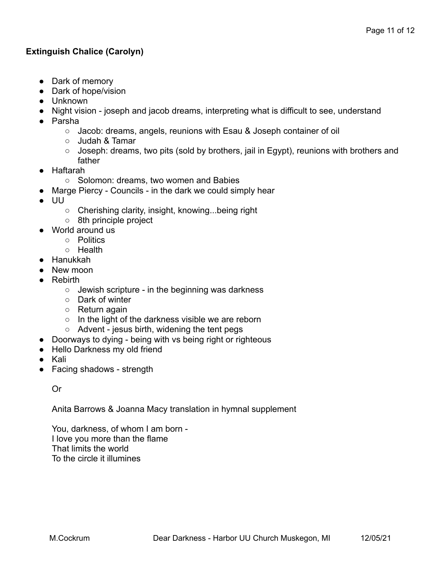# **Extinguish Chalice (Carolyn)**

- Dark of memory
- Dark of hope/vision
- Unknown
- Night vision joseph and jacob dreams, interpreting what is difficult to see, understand
- Parsha
	- Jacob: dreams, angels, reunions with Esau & Joseph container of oil
	- Judah & Tamar
	- Joseph: dreams, two pits (sold by brothers, jail in Egypt), reunions with brothers and father
- **Haftarah** 
	- Solomon: dreams, two women and Babies
- Marge Piercy Councils in the dark we could simply hear
- UU
	- Cherishing clarity, insight, knowing...being right
	- 8th principle project
- World around us
	- Politics
	- Health
- Hanukkah
- New moon
- Rebirth
	- Jewish scripture in the beginning was darkness
	- Dark of winter
	- Return again
	- $\circ$  In the light of the darkness visible we are reborn
	- Advent jesus birth, widening the tent pegs
- Doorways to dying being with vs being right or righteous
- Hello Darkness my old friend
- Kali
- Facing shadows strength

Or

Anita Barrows & Joanna Macy translation in hymnal supplement

You, darkness, of whom I am born - I love you more than the flame That limits the world To the circle it illumines